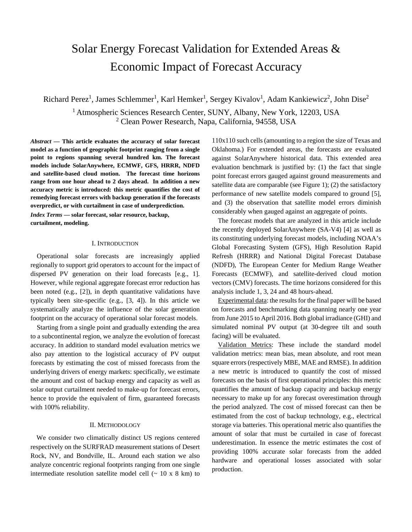# Solar Energy Forecast Validation for Extended Areas & Economic Impact of Forecast Accuracy

Richard Perez<sup>1</sup>, James Schlemmer<sup>1</sup>, Karl Hemker<sup>1</sup>, Sergey Kivalov<sup>1</sup>, Adam Kankiewicz<sup>2</sup>, John Dise<sup>2</sup> <sup>1</sup> Atmospheric Sciences Research Center, SUNY, Albany, New York, 12203, USA 2 Clean Power Research, Napa, California, 94558, USA

*Abstract* **— This article evaluates the accuracy of solar forecast model as a function of geographic footprint ranging from a single point to regions spanning several hundred km. The forecast models include SolarAnywhere, ECMWF, GFS, HRRR, NDFD and satellite-based cloud motion. The forecast time horizons range from one hour ahead to 2 days ahead. In addition a new accuracy metric is introduced: this metric quantifies the cost of remedying forecast errors with backup generation if the forecasts overpredict, or with curtailment in case of underprediction.**  *Index Terms* **— solar forecast, solar resource, backup, curtailment, modeling.** 

#### I. INTRODUCTION

Operational solar forecasts are increasingly applied regionally to support grid operators to account for the impact of dispersed PV generation on their load forecasts [e.g., 1]. However, while regional aggregate forecast error reduction has been noted (e.g., [2]), in depth quantitative validations have typically been site-specific (e.g., [3, 4]). In this article we systematically analyze the influence of the solar generation footprint on the accuracy of operational solar forecast models.

Starting from a single point and gradually extending the area to a subcontinental region, we analyze the evolution of forecast accuracy. In addition to standard model evaluation metrics we also pay attention to the logistical accuracy of PV output forecasts by estimating the cost of missed forecasts from the underlying drivers of energy markets: specifically, we estimate the amount and cost of backup energy and capacity as well as solar output curtailment needed to make-up for forecast errors, hence to provide the equivalent of firm, guaranteed forecasts with 100% reliability.

#### II. METHODOLOGY

We consider two climatically distinct US regions centered respectively on the SURFRAD measurement stations of Desert Rock, NV, and Bondville, IL. Around each station we also analyze concentric regional footprints ranging from one single intermediate resolution satellite model cell  $($   $\sim$  10 x 8 km) to

110x110 such cells (amounting to a region the size of Texas and Oklahoma.) For extended areas, the forecasts are evaluated against SolarAnywhere historical data. This extended area evaluation benchmark is justified by: (1) the fact that single point forecast errors gauged against ground measurements and satellite data are comparable (see Figure 1); (2) the satisfactory performance of new satellite models compared to ground [5], and (3) the observation that satellite model errors diminish considerably when gauged against an aggregate of points.

The forecast models that are analyzed in this article include the recently deployed SolarAnywhere (SA-V4) [4] as well as its constituting underlying forecast models, including NOAA's Global Forecasting System (GFS), High Resolution Rapid Refresh (HRRR) and National Digital Forecast Database (NDFD), The European Center for Medium Range Weather Forecasts (ECMWF), and satellite-derived cloud motion vectors (CMV) forecasts. The time horizons considered for this analysis include 1, 3, 24 and 48 hours-ahead.

Experimental data: the results for the final paper will be based on forecasts and benchmarking data spanning nearly one year from June 2015 to April 2016. Both global irradiance (GHI) and simulated nominal PV output (at 30-degree tilt and south facing) will be evaluated.

Validation Metrics: These include the standard model validation metrics: mean bias, mean absolute, and root mean square errors (respectively MBE, MAE and RMSE). In addition a new metric is introduced to quantify the cost of missed forecasts on the basis of first operational principles: this metric quantifies the amount of backup capacity and backup energy necessary to make up for any forecast overestimation through the period analyzed. The cost of missed forecast can then be estimated from the cost of backup technology, e.g., electrical storage via batteries. This operational metric also quantifies the amount of solar that must be curtailed in case of forecast underestimation. In essence the metric estimates the cost of providing 100% accurate solar forecasts from the added hardware and operational losses associated with solar production.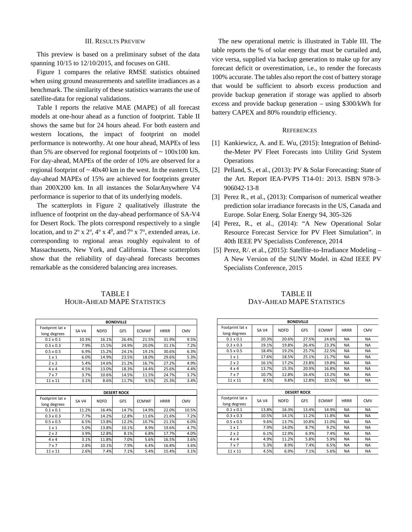### III. RESULTS PREVIEW

This preview is based on a preliminary subset of the data spanning 10/15 to 12/10/2015, and focuses on GHI.

Figure 1 compares the relative RMSE statistics obtained when using ground measurements and satellite irradiances as a benchmark. The similarity of these statistics warrants the use of satellite-data for regional validations.

Table I reports the relative MAE (MAPE) of all forecast models at one-hour ahead as a function of footprint. Table II shows the same but for 24 hours ahead. For both eastern and western locations, the impact of footprint on model performance is noteworthy. At one hour ahead, MAPEs of less than 5% are observed for regional footprints of  $\sim 100x100$  km. For day-ahead, MAPEs of the order of 10% are observed for a regional footprint of  $\sim$  40x40 km in the west. In the eastern US, day-ahead MAPEs of 15% are achieved for footprints greater than 200X200 km. In all instances the SolarAnywhere V4 performance is superior to that of its underlying models.

The scatterplots in Figure 2 qualitatively illustrate the influence of footprint on the day-ahead performance of SA-V4 for Desert Rock. The plots correspond respectively to a single location, and to  $2^{\circ}$  x  $2^{\circ}$ ,  $4^{\circ}$  x  $4^{\circ}$ , and  $7^{\circ}$  x  $7^{\circ}$ , extended areas, i.e. corresponding to regional areas roughly equivalent to of Massachusetts, New York, and California. These scatterplots show that the reliability of day-ahead forecasts becomes remarkable as the considered balancing area increases.

## TABLE I HOUR-AHEAD MAPE STATISTICS

|                                 |                  |             | <b>BONDVILLE</b>   |              |             |            |
|---------------------------------|------------------|-------------|--------------------|--------------|-------------|------------|
| Footprint lat x<br>long degrees | SA <sub>V4</sub> | <b>NDFD</b> | GFS                | <b>ECMWF</b> | <b>HRRR</b> | <b>CMV</b> |
| $0.1 \times 0.1$                | 10.3%            | 16.1%       | 26.4%              | 21.5%        | 31.9%       | 9.5%       |
| $0.3 \times 0.3$                | 7.9%             | 15.5%       | 24.9%              | 20.0%        | 31.1%       | 7.2%       |
| $0.5 \times 0.5$                | 6.9%             | 15.2%       | 24.1%              | 19.1%        | 30.6%       | 6.3%       |
| $1 \times 1$                    | 6.0%             | 14.9%       | 23.5%              | 18.0%        | 29.6%       | 5.3%       |
| $2 \times 2$                    | 5.4%             | 14.6%       | 21.2%              | 16.7%        | 27.2%       | 4.9%       |
| $4 \times 4$                    | 4.5%             | 13.0%       | 18.3%              | 14.4%        | 25.6%       | 4.4%       |
| 7 x 7                           | 3.7%             | 10.6%       | 14.5%              | 11.5%        | 24.7%       | 3.7%       |
| 11 x 11                         | 3.1%             | 8.6%        | 11.7%              | 9.5%         | 25.3%       | 3.4%       |
|                                 |                  |             |                    |              |             |            |
|                                 |                  |             | <b>DESERT ROCK</b> |              |             |            |
| Footprint lat x<br>long degrees | SA <sub>V4</sub> | <b>NDFD</b> | <b>GFS</b>         | <b>ECMWF</b> | <b>HRRR</b> | <b>CMV</b> |
| $0.1 \times 0.1$                | 11.2%            | 16.4%       | 14.7%              | 14.9%        | 22.0%       | 10.5%      |
| $0.3 \times 0.3$                | 7.7%             | 14.2%       | 12.8%              | 11.6%        | 21.6%       | 7.2%       |
| $0.5 \times 0.5$                | 6.5%             | 13.8%       | 12.2%              | 10.7%        | 21.1%       | 6.0%       |
| $1 \times 1$                    | 5.0%             | 13.8%       | 10.1%              | 8.9%         | 19.6%       | 4.7%       |
| $2 \times 2$                    | 3.9%             | 12.8%       | 8.1%               | 6.8%         | 17.7%       | 4.0%       |
| $4 \times 4$                    | 3.1%             | 11.8%       | 7.0%               | 5.6%         | 16.5%       | 3.6%       |
| 7 x 7                           | 2.8%             | 10.1%       | 7.9%               | 6.4%         | 16.8%       | 3.6%       |
| 11 x 11                         | 2.6%             | 7.4%        | 7.1%               | 5.4%         | 15.4%       | 3.1%       |

The new operational metric is illustrated in Table III. The table reports the % of solar energy that must be curtailed and, vice versa, supplied via backup generation to make up for any forecast deficit or overestimation, i.e., to render the forecasts 100% accurate. The tables also report the cost of battery storage that would be sufficient to absorb excess production and provide backup generation if storage was applied to absorb excess and provide backup generation – using \$300/kWh for battery CAPEX and 80% roundtrip efficiency.

#### **REFERENCES**

- [1] Kankiewicz, A. and E. Wu, (2015): Integration of Behindthe-Meter PV Fleet Forecasts into Utility Grid System **Operations**
- [2] Pelland, S., et al., (2013): PV & Solar Forecasting: State of the Art. Report IEA‐PVPS T14‐01: 2013. ISBN 978‐3‐ 906042‐13‐8
- [3] Perez R., et al., (2013): Comparison of numerical weather prediction solar irradiance forecasts in the US, Canada and Europe. Solar Energ. Solar Energy 94, 305-326
- [4] Perez, R., et al., (2014): "A New Operational Solar Resource Forecast Service for PV Fleet Simulation". in 40th IEEE PV Specialists Conference, 2014
- [5] Perez, R/. et al., (2015): Satellite-to-Irradiance Modeling A New Version of the SUNY Model. in 42nd IEEE PV Specialists Conference, 2015

# TABLE II DAY-AHEAD MAPE STATISTICS

| <b>BONDVILLE</b>                |                  |             |            |              |             |            |  |
|---------------------------------|------------------|-------------|------------|--------------|-------------|------------|--|
| Footprint lat x<br>long degrees | SA <sub>V4</sub> | <b>NDFD</b> | GFS        | <b>ECMWF</b> | <b>HRRR</b> | <b>CMV</b> |  |
| $0.1 \times 0.1$                | 20.3%            | 20.6%       | 27.5%      | 24.6%        | <b>NA</b>   | <b>NA</b>  |  |
| $0.3 \times 0.3$                | 19.1%            | 19.8%       | 26.4%      | 23.3%        | <b>NA</b>   | <b>NA</b>  |  |
| $0.5 \times 0.5$                | 18.4%            | 19.2%       | 25.7%      | 22.5%        | <b>NA</b>   | <b>NA</b>  |  |
| $1 \times 1$                    | 17.6%            | 18.5%       | 25.1%      | 21.7%        | ΝA          | <b>NA</b>  |  |
| $2 \times 2$                    | 16.1%            | 17.2%       | 23.8%      | 19.8%        | <b>NA</b>   | <b>NA</b>  |  |
| $4 \times 4$                    | 13.7%            | 15.3%       | 20.9%      | 16.8%        | <b>NA</b>   | <b>NA</b>  |  |
| $7 \times 7$                    | 10.7%            | 12.8%       | 16.4%      | 13.2%        | NΑ          | <b>NA</b>  |  |
| 11 x 11                         | 8.5%             | 9.8%        | 12.8%      | 10.5%        | ΝA          | ΝA         |  |
|                                 |                  |             |            |              |             |            |  |
| <b>DESERT ROCK</b>              |                  |             |            |              |             |            |  |
| Footprint lat x                 | SA <sub>V4</sub> | <b>NDFD</b> | <b>GFS</b> | <b>ECMWF</b> | <b>HRRR</b> | <b>CMV</b> |  |
| long degrees                    |                  |             |            |              |             |            |  |
| $0.1 \times 0.1$                | 13.8%            | 16.3%       | 13.4%      | 14.9%        | <b>NA</b>   | <b>NA</b>  |  |
| $0.3 \times 0.3$                | 10.5%            | 14.1%       | 11.2%      | 11.8%        | <b>NA</b>   | <b>NA</b>  |  |
| $0.5 \times 0.5$                | 9.6%             | 13.7%       | 10.8%      | 11.0%        | <b>NA</b>   | <b>NA</b>  |  |
| $1 \times 1$                    | 7.9%             | 14.0%       | 8.7%       | 9.2%         | <b>NA</b>   | <b>NA</b>  |  |
| $2 \times 2$                    | 6.1%             | 12.9%       | 6.9%       | 7.4%         | NΑ          | <b>NA</b>  |  |
| $4 \times 4$                    | 4.9%             | 11.2%       | 5.8%       | 5.9%         | <b>NA</b>   | <b>NA</b>  |  |
| $7 \times 7$                    | 5.3%             | 8.9%        | 7.4%       | 6.5%         | ΝA          | <b>NA</b>  |  |
| 11 x 11                         | 4.5%             | 6.9%        | 7.1%       | 5.6%         | <b>ΝΑ</b>   | NA         |  |